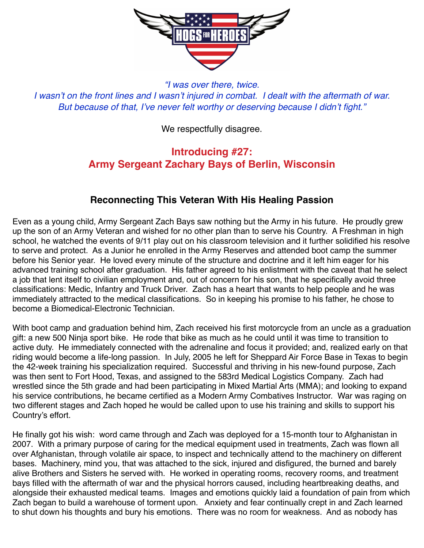

*"I was over there, twice. I wasn't on the front lines and I wasn't injured in combat. I dealt with the aftermath of war. But because of that, I've never felt worthy or deserving because I didn't fight."*

## We respectfully disagree.

## **Introducing #27: Army Sergeant Zachary Bays of Berlin, Wisconsin**

## **Reconnecting This Veteran With His Healing Passion**

Even as a young child, Army Sergeant Zach Bays saw nothing but the Army in his future. He proudly grew up the son of an Army Veteran and wished for no other plan than to serve his Country. A Freshman in high school, he watched the events of 9/11 play out on his classroom television and it further solidified his resolve to serve and protect. As a Junior he enrolled in the Army Reserves and attended boot camp the summer before his Senior year. He loved every minute of the structure and doctrine and it left him eager for his advanced training school after graduation. His father agreed to his enlistment with the caveat that he select a job that lent itself to civilian employment and, out of concern for his son, that he specifically avoid three classifications: Medic, Infantry and Truck Driver. Zach has a heart that wants to help people and he was immediately attracted to the medical classifications. So in keeping his promise to his father, he chose to become a Biomedical-Electronic Technician.

With boot camp and graduation behind him, Zach received his first motorcycle from an uncle as a graduation gift: a new 500 Ninja sport bike. He rode that bike as much as he could until it was time to transition to active duty. He immediately connected with the adrenaline and focus it provided; and, realized early on that riding would become a life-long passion. In July, 2005 he left for Sheppard Air Force Base in Texas to begin the 42-week training his specialization required. Successful and thriving in his new-found purpose, Zach was then sent to Fort Hood, Texas, and assigned to the 583rd Medical Logistics Company. Zach had wrestled since the 5th grade and had been participating in Mixed Martial Arts (MMA); and looking to expand his service contributions, he became certified as a Modern Army Combatives Instructor. War was raging on two different stages and Zach hoped he would be called upon to use his training and skills to support his Country's effort.

He finally got his wish: word came through and Zach was deployed for a 15-month tour to Afghanistan in 2007. With a primary purpose of caring for the medical equipment used in treatments, Zach was flown all over Afghanistan, through volatile air space, to inspect and technically attend to the machinery on different bases. Machinery, mind you, that was attached to the sick, injured and disfigured, the burned and barely alive Brothers and Sisters he served with. He worked in operating rooms, recovery rooms, and treatment bays filled with the aftermath of war and the physical horrors caused, including heartbreaking deaths, and alongside their exhausted medical teams. Images and emotions quickly laid a foundation of pain from which Zach began to build a warehouse of torment upon. Anxiety and fear continually crept in and Zach learned to shut down his thoughts and bury his emotions. There was no room for weakness. And as nobody has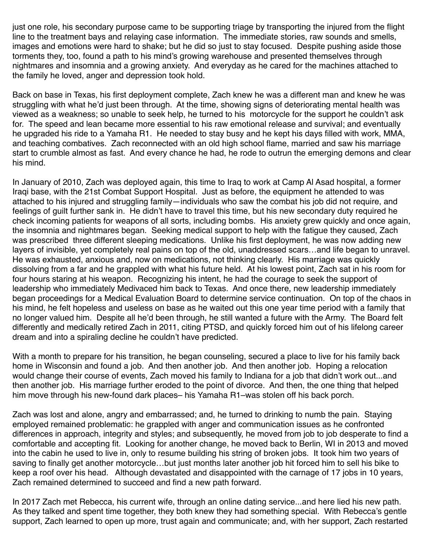just one role, his secondary purpose came to be supporting triage by transporting the injured from the flight line to the treatment bays and relaying case information. The immediate stories, raw sounds and smells, images and emotions were hard to shake; but he did so just to stay focused. Despite pushing aside those torments they, too, found a path to his mind's growing warehouse and presented themselves through nightmares and insomnia and a growing anxiety. And everyday as he cared for the machines attached to the family he loved, anger and depression took hold.

Back on base in Texas, his first deployment complete, Zach knew he was a different man and knew he was struggling with what he'd just been through. At the time, showing signs of deteriorating mental health was viewed as a weakness; so unable to seek help, he turned to his motorcycle for the support he couldn't ask for. The speed and lean became more essential to his raw emotional release and survival; and eventually he upgraded his ride to a Yamaha R1. He needed to stay busy and he kept his days filled with work, MMA, and teaching combatives. Zach reconnected with an old high school flame, married and saw his marriage start to crumble almost as fast. And every chance he had, he rode to outrun the emerging demons and clear his mind.

In January of 2010, Zach was deployed again, this time to Iraq to work at Camp Al Asad hospital, a former Iraqi base, with the 21st Combat Support Hospital. Just as before, the equipment he attended to was attached to his injured and struggling family—individuals who saw the combat his job did not require, and feelings of guilt further sank in. He didn't have to travel this time, but his new secondary duty required he check incoming patients for weapons of all sorts, including bombs. His anxiety grew quickly and once again, the insomnia and nightmares began. Seeking medical support to help with the fatigue they caused, Zach was prescribed three different sleeping medications. Unlike his first deployment, he was now adding new layers of invisible, yet completely real pains on top of the old, unaddressed scars…and life began to unravel. He was exhausted, anxious and, now on medications, not thinking clearly. His marriage was quickly dissolving from a far and he grappled with what his future held. At his lowest point, Zach sat in his room for four hours staring at his weapon. Recognizing his intent, he had the courage to seek the support of leadership who immediately Medivaced him back to Texas. And once there, new leadership immediately began proceedings for a Medical Evaluation Board to determine service continuation. On top of the chaos in his mind, he felt hopeless and useless on base as he waited out this one year time period with a family that no longer valued him. Despite all he'd been through, he still wanted a future with the Army. The Board felt differently and medically retired Zach in 2011, citing PTSD, and quickly forced him out of his lifelong career dream and into a spiraling decline he couldn't have predicted.

With a month to prepare for his transition, he began counseling, secured a place to live for his family back home in Wisconsin and found a job. And then another job. And then another job. Hoping a relocation would change their course of events, Zach moved his family to Indiana for a job that didn't work out...and then another job. His marriage further eroded to the point of divorce. And then, the one thing that helped him move through his new-found dark places– his Yamaha R1–was stolen off his back porch.

Zach was lost and alone, angry and embarrassed; and, he turned to drinking to numb the pain. Staying employed remained problematic: he grappled with anger and communication issues as he confronted differences in approach, integrity and styles; and subsequently, he moved from job to job desperate to find a comfortable and accepting fit. Looking for another change, he moved back to Berlin, WI in 2013 and moved into the cabin he used to live in, only to resume building his string of broken jobs. It took him two years of saving to finally get another motorcycle…but just months later another job hit forced him to sell his bike to keep a roof over his head. Although devastated and disappointed with the carnage of 17 jobs in 10 years, Zach remained determined to succeed and find a new path forward.

In 2017 Zach met Rebecca, his current wife, through an online dating service...and here lied his new path. As they talked and spent time together, they both knew they had something special. With Rebecca's gentle support, Zach learned to open up more, trust again and communicate; and, with her support, Zach restarted